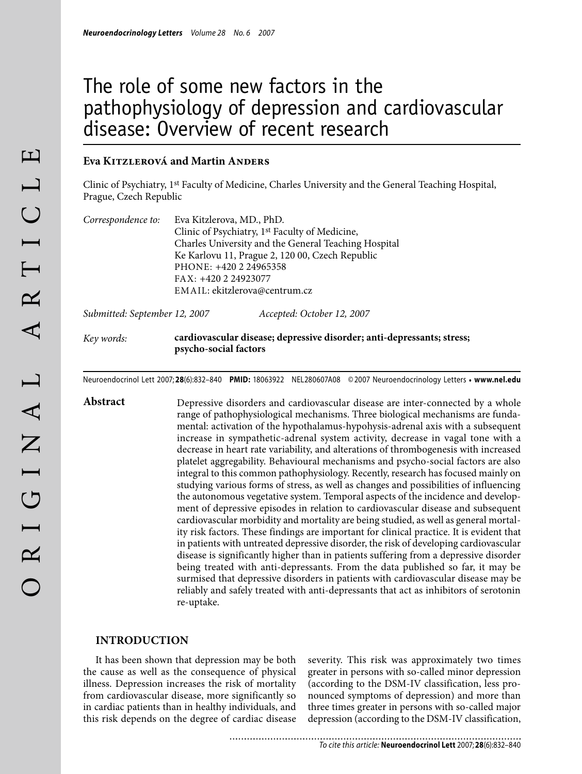# The role of some new factors in the pathophysiology of depression and cardiovascular disease: Overview of recent research

## **Eva Kitzlerová and Martin Anders**

Clinic of Psychiatry, 1st Faculty of Medicine, Charles University and the General Teaching Hospital, Prague, Czech Republic

| Correspondence to: | Eva Kitzlerova, MD., PhD.                                  |
|--------------------|------------------------------------------------------------|
|                    | Clinic of Psychiatry, 1 <sup>st</sup> Faculty of Medicine, |
|                    | Charles University and the General Teaching Hospital       |
|                    | Ke Karlovu 11, Prague 2, 120 00, Czech Republic            |
|                    | PHONE: +420 2 24965358                                     |
|                    | FAX: +420 2 24923077                                       |
|                    | EMAIL: ekitzlerova@centrum.cz                              |
|                    |                                                            |

*Submitted: September 12, 2007 Accepted: October 12, 2007*

## *Key words:* **cardiovascular disease; depressive disorder; anti-depressants; stress; psycho-social factors**

Neuroendocrinol Lett 2007; **28**(6):832–840 **PMID:** 18063922 NEL280607A08 ©2007 Neuroendocrinology Letters • **www.nel.edu**

Abstract Depressive disorders and cardiovascular disease are inter-connected by a whole range of pathophysiological mechanisms. Three biological mechanisms are fundamental: activation of the hypothalamus-hypohysis-adrenal axis with a subsequent increase in sympathetic-adrenal system activity, decrease in vagal tone with a decrease in heart rate variability, and alterations of thrombogenesis with increased platelet aggregability. Behavioural mechanisms and psycho-social factors are also integral to this common pathophysiology. Recently, research has focused mainly on studying various forms of stress, as well as changes and possibilities of influencing the autonomous vegetative system. Temporal aspects of the incidence and development of depressive episodes in relation to cardiovascular disease and subsequent cardiovascular morbidity and mortality are being studied, as well as general mortality risk factors. These findings are important for clinical practice. It is evident that in patients with untreated depressive disorder, the risk of developing cardiovascular disease is significantly higher than in patients suffering from a depressive disorder being treated with anti-depressants. From the data published so far, it may be surmised that depressive disorders in patients with cardiovascular disease may be reliably and safely treated with anti-depressants that act as inhibitors of serotonin re-uptake.

## **Introduction**

It has been shown that depression may be both the cause as well as the consequence of physical illness. Depression increases the risk of mortality from cardiovascular disease, more significantly so in cardiac patients than in healthy individuals, and this risk depends on the degree of cardiac disease

severity. This risk was approximately two times greater in persons with so-called minor depression (according to the DSM-IV classification, less pronounced symptoms of depression) and more than three times greater in persons with so-called major depression (according to the DSM-IV classification,

*To cite this article:* **Neuroendocrinol Lett** 2007; **28**(6):832–840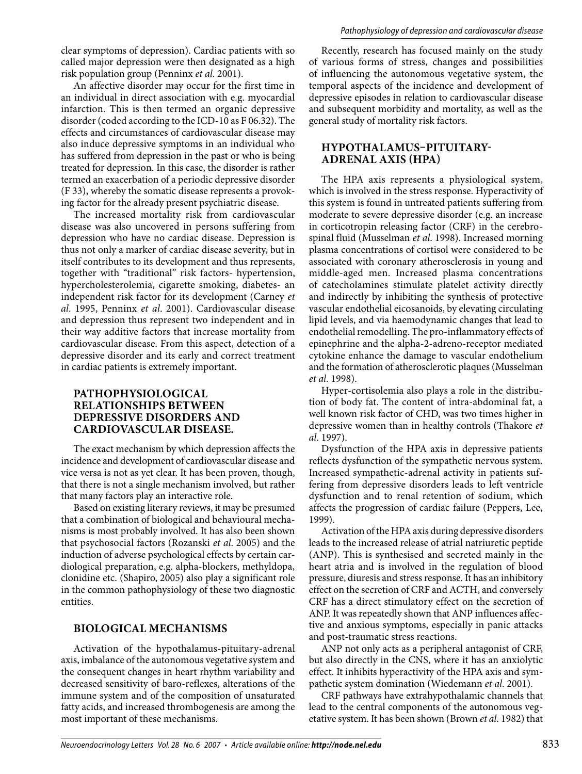clear symptoms of depression). Cardiac patients with so called major depression were then designated as a high risk population group (Penninx *et al*. 2001).

An affective disorder may occur for the first time in an individual in direct association with e.g. myocardial infarction. This is then termed an organic depressive disorder (coded according to the ICD-10 as F 06.32). The effects and circumstances of cardiovascular disease may also induce depressive symptoms in an individual who has suffered from depression in the past or who is being treated for depression. In this case, the disorder is rather termed an exacerbation of a periodic depressive disorder (F 33), whereby the somatic disease represents a provoking factor for the already present psychiatric disease.

The increased mortality risk from cardiovascular disease was also uncovered in persons suffering from depression who have no cardiac disease. Depression is thus not only a marker of cardiac disease severity, but in itself contributes to its development and thus represents, together with "traditional" risk factors- hypertension, hypercholesterolemia, cigarette smoking, diabetes- an independent risk factor for its development (Carney *et al*. 1995, Penninx *et al*. 2001). Cardiovascular disease and depression thus represent two independent and in their way additive factors that increase mortality from cardiovascular disease. From this aspect, detection of a depressive disorder and its early and correct treatment in cardiac patients is extremely important.

## **Pathophysiological relationships between depressive disorders and cardiovascular disease.**

The exact mechanism by which depression affects the incidence and development of cardiovascular disease and vice versa is not as yet clear. It has been proven, though, that there is not a single mechanism involved, but rather that many factors play an interactive role.

Based on existing literary reviews, it may be presumed that a combination of biological and behavioural mechanisms is most probably involved. It has also been shown that psychosocial factors (Rozanski *et al*. 2005) and the induction of adverse psychological effects by certain cardiological preparation, e.g. alpha-blockers, methyldopa, clonidine etc. (Shapiro, 2005) also play a significant role in the common pathophysiology of these two diagnostic entities.

# **Biological mechanisms**

Activation of the hypothalamus-pituitary-adrenal axis, imbalance of the autonomous vegetative system and the consequent changes in heart rhythm variability and decreased sensitivity of baro-reflexes, alterations of the immune system and of the composition of unsaturated fatty acids, and increased thrombogenesis are among the most important of these mechanisms.

Recently, research has focused mainly on the study of various forms of stress, changes and possibilities of influencing the autonomous vegetative system, the temporal aspects of the incidence and development of depressive episodes in relation to cardiovascular disease and subsequent morbidity and mortality, as well as the general study of mortality risk factors.

# **Hypothalamus–pituitaryadrenal axis (HPA)**

The HPA axis represents a physiological system, which is involved in the stress response. Hyperactivity of this system is found in untreated patients suffering from moderate to severe depressive disorder (e.g. an increase in corticotropin releasing factor (CRF) in the cerebrospinal fluid (Musselman *et al*. 1998). Increased morning plasma concentrations of cortisol were considered to be associated with coronary atherosclerosis in young and middle-aged men. Increased plasma concentrations of catecholamines stimulate platelet activity directly and indirectly by inhibiting the synthesis of protective vascular endothelial eicosanoids, by elevating circulating lipid levels, and via haemodynamic changes that lead to endothelial remodelling. The pro-inflammatory effects of epinephrine and the alpha-2-adreno-receptor mediated cytokine enhance the damage to vascular endothelium and the formation of atherosclerotic plaques (Musselman *et al*. 1998).

Hyper-cortisolemia also plays a role in the distribution of body fat. The content of intra-abdominal fat, a well known risk factor of CHD, was two times higher in depressive women than in healthy controls (Thakore *et al*. 1997).

Dysfunction of the HPA axis in depressive patients reflects dysfunction of the sympathetic nervous system. Increased sympathetic-adrenal activity in patients suffering from depressive disorders leads to left ventricle dysfunction and to renal retention of sodium, which affects the progression of cardiac failure (Peppers, Lee, 1999).

Activation of the HPA axis during depressive disorders leads to the increased release of atrial natriuretic peptide (ANP). This is synthesised and secreted mainly in the heart atria and is involved in the regulation of blood pressure, diuresis and stress response. It has an inhibitory effect on the secretion of CRF and ACTH, and conversely CRF has a direct stimulatory effect on the secretion of ANP. It was repeatedly shown that ANP influences affective and anxious symptoms, especially in panic attacks and post-traumatic stress reactions.

ANP not only acts as a peripheral antagonist of CRF, but also directly in the CNS, where it has an anxiolytic effect. It inhibits hyperactivity of the HPA axis and sympathetic system domination (Wiedemann *et al*. 2001).

CRF pathways have extrahypothalamic channels that lead to the central components of the autonomous vegetative system. It has been shown (Brown *et al*. 1982) that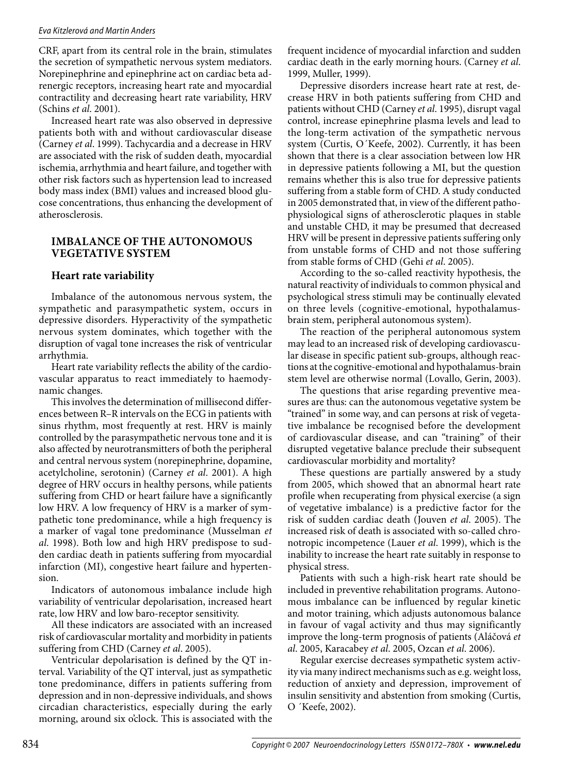CRF, apart from its central role in the brain, stimulates the secretion of sympathetic nervous system mediators. Norepinephrine and epinephrine act on cardiac beta adrenergic receptors, increasing heart rate and myocardial contractility and decreasing heart rate variability, HRV (Schins *et al*. 2001).

Increased heart rate was also observed in depressive patients both with and without cardiovascular disease (Carney *et al*. 1999). Tachycardia and a decrease in HRV are associated with the risk of sudden death, myocardial ischemia, arrhythmia and heart failure, and together with other risk factors such as hypertension lead to increased body mass index (BMI) values and increased blood glucose concentrations, thus enhancing the development of atherosclerosis.

## **Imbalance of the autonomous vegetative system**

# **Heart rate variability**

Imbalance of the autonomous nervous system, the sympathetic and parasympathetic system, occurs in depressive disorders. Hyperactivity of the sympathetic nervous system dominates, which together with the disruption of vagal tone increases the risk of ventricular arrhythmia.

Heart rate variability reflects the ability of the cardiovascular apparatus to react immediately to haemodynamic changes.

This involves the determination of millisecond differences between R–R intervals on the ECG in patients with sinus rhythm, most frequently at rest. HRV is mainly controlled by the parasympathetic nervous tone and it is also affected by neurotransmitters of both the peripheral and central nervous system (norepinephrine, dopamine, acetylcholine, serotonin) (Carney *et al*. 2001). A high degree of HRV occurs in healthy persons, while patients suffering from CHD or heart failure have a significantly low HRV. A low frequency of HRV is a marker of sympathetic tone predominance, while a high frequency is a marker of vagal tone predominance (Musselman *et al*. 1998). Both low and high HRV predispose to sudden cardiac death in patients suffering from myocardial infarction (MI), congestive heart failure and hypertension.

Indicators of autonomous imbalance include high variability of ventricular depolarisation, increased heart rate, low HRV and low baro-receptor sensitivity.

All these indicators are associated with an increased risk of cardiovascular mortality and morbidity in patients suffering from CHD (Carney *et al*. 2005).

Ventricular depolarisation is defined by the QT interval. Variability of the QT interval, just as sympathetic tone predominance, differs in patients suffering from depression and in non-depressive individuals, and shows circadian characteristics, especially during the early morning, around six o'clock. This is associated with the frequent incidence of myocardial infarction and sudden cardiac death in the early morning hours. (Carney *et al*. 1999, Muller, 1999).

Depressive disorders increase heart rate at rest, decrease HRV in both patients suffering from CHD and patients without CHD (Carney *et al*. 1995), disrupt vagal control, increase epinephrine plasma levels and lead to the long-term activation of the sympathetic nervous system (Curtis, O´Keefe, 2002). Currently, it has been shown that there is a clear association between low HR in depressive patients following a MI, but the question remains whether this is also true for depressive patients suffering from a stable form of CHD. A study conducted in 2005 demonstrated that, in view of the different pathophysiological signs of atherosclerotic plaques in stable and unstable CHD, it may be presumed that decreased HRV will be present in depressive patients suffering only from unstable forms of CHD and not those suffering from stable forms of CHD (Gehi *et al*. 2005).

According to the so-called reactivity hypothesis, the natural reactivity of individuals to common physical and psychological stress stimuli may be continually elevated on three levels (cognitive-emotional, hypothalamusbrain stem, peripheral autonomous system).

The reaction of the peripheral autonomous system may lead to an increased risk of developing cardiovascular disease in specific patient sub-groups, although reactions at the cognitive-emotional and hypothalamus-brain stem level are otherwise normal (Lovallo, Gerin, 2003).

The questions that arise regarding preventive measures are thus: can the autonomous vegetative system be "trained" in some way, and can persons at risk of vegetative imbalance be recognised before the development of cardiovascular disease, and can "training" of their disrupted vegetative balance preclude their subsequent cardiovascular morbidity and mortality?

These questions are partially answered by a study from 2005, which showed that an abnormal heart rate profile when recuperating from physical exercise (a sign of vegetative imbalance) is a predictive factor for the risk of sudden cardiac death (Jouven *et al*. 2005). The increased risk of death is associated with so-called chronotropic incompetence (Lauer *et al*. 1999), which is the inability to increase the heart rate suitably in response to physical stress.

Patients with such a high-risk heart rate should be included in preventive rehabilitation programs. Autonomous imbalance can be influenced by regular kinetic and motor training, which adjusts autonomous balance in favour of vagal activity and thus may significantly improve the long-term prognosis of patients (Aláčová *et al*. 2005, Karacabey *et al*. 2005, Ozcan *et al*. 2006).

Regular exercise decreases sympathetic system activity via many indirect mechanisms such as e.g. weight loss, reduction of anxiety and depression, improvement of insulin sensitivity and abstention from smoking (Curtis, O ´Keefe, 2002).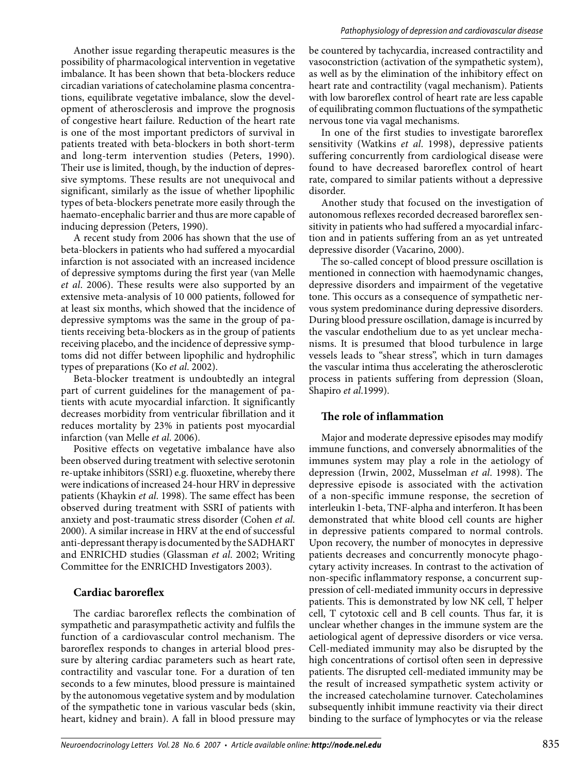Another issue regarding therapeutic measures is the possibility of pharmacological intervention in vegetative imbalance. It has been shown that beta-blockers reduce circadian variations of catecholamine plasma concentrations, equilibrate vegetative imbalance, slow the development of atherosclerosis and improve the prognosis of congestive heart failure. Reduction of the heart rate is one of the most important predictors of survival in patients treated with beta-blockers in both short-term and long-term intervention studies (Peters, 1990). Their use is limited, though, by the induction of depressive symptoms. These results are not unequivocal and significant, similarly as the issue of whether lipophilic types of beta-blockers penetrate more easily through the haemato-encephalic barrier and thus are more capable of inducing depression (Peters, 1990).

A recent study from 2006 has shown that the use of beta-blockers in patients who had suffered a myocardial infarction is not associated with an increased incidence of depressive symptoms during the first year (van Melle *et al*. 2006). These results were also supported by an extensive meta-analysis of 10 000 patients, followed for at least six months, which showed that the incidence of depressive symptoms was the same in the group of patients receiving beta-blockers as in the group of patients receiving placebo, and the incidence of depressive symptoms did not differ between lipophilic and hydrophilic types of preparations (Ko *et al*. 2002).

Beta-blocker treatment is undoubtedly an integral part of current guidelines for the management of patients with acute myocardial infarction. It significantly decreases morbidity from ventricular fibrillation and it reduces mortality by 23% in patients post myocardial infarction (van Melle *et al*. 2006).

Positive effects on vegetative imbalance have also been observed during treatment with selective serotonin re-uptake inhibitors (SSRI) e.g. fluoxetine, whereby there were indications of increased 24-hour HRV in depressive patients (Khaykin *et al*. 1998). The same effect has been observed during treatment with SSRI of patients with anxiety and post-traumatic stress disorder (Cohen *et al*. 2000). A similar increase in HRV at the end of successful anti-depressant therapy is documented by the SADHART and ENRICHD studies (Glassman *et al*. 2002; Writing Committee for the ENRICHD Investigators 2003).

## **Cardiac baroreflex**

The cardiac baroreflex reflects the combination of sympathetic and parasympathetic activity and fulfils the function of a cardiovascular control mechanism. The baroreflex responds to changes in arterial blood pressure by altering cardiac parameters such as heart rate, contractility and vascular tone. For a duration of ten seconds to a few minutes, blood pressure is maintained by the autonomous vegetative system and by modulation of the sympathetic tone in various vascular beds (skin, heart, kidney and brain). A fall in blood pressure may

be countered by tachycardia, increased contractility and vasoconstriction (activation of the sympathetic system), as well as by the elimination of the inhibitory effect on heart rate and contractility (vagal mechanism). Patients with low baroreflex control of heart rate are less capable of equilibrating common fluctuations of the sympathetic nervous tone via vagal mechanisms.

In one of the first studies to investigate baroreflex sensitivity (Watkins *et al*. 1998), depressive patients suffering concurrently from cardiological disease were found to have decreased baroreflex control of heart rate, compared to similar patients without a depressive disorder.

Another study that focused on the investigation of autonomous reflexes recorded decreased baroreflex sensitivity in patients who had suffered a myocardial infarction and in patients suffering from an as yet untreated depressive disorder (Vacarino, 2000).

The so-called concept of blood pressure oscillation is mentioned in connection with haemodynamic changes, depressive disorders and impairment of the vegetative tone. This occurs as a consequence of sympathetic nervous system predominance during depressive disorders. During blood pressure oscillation, damage is incurred by the vascular endothelium due to as yet unclear mechanisms. It is presumed that blood turbulence in large vessels leads to "shear stress", which in turn damages the vascular intima thus accelerating the atherosclerotic process in patients suffering from depression (Sloan, Shapiro *et al*.1999).

# **The role of inflammation**

Major and moderate depressive episodes may modify immune functions, and conversely abnormalities of the immunes system may play a role in the aetiology of depression (Irwin, 2002, Musselman *et al*. 1998). The depressive episode is associated with the activation of a non-specific immune response, the secretion of interleukin 1-beta, TNF-alpha and interferon. It has been demonstrated that white blood cell counts are higher in depressive patients compared to normal controls. Upon recovery, the number of monocytes in depressive patients decreases and concurrently monocyte phagocytary activity increases. In contrast to the activation of non-specific inflammatory response, a concurrent suppression of cell-mediated immunity occurs in depressive patients. This is demonstrated by low NK cell, T helper cell, T cytotoxic cell and B cell counts. Thus far, it is unclear whether changes in the immune system are the aetiological agent of depressive disorders or vice versa. Cell-mediated immunity may also be disrupted by the high concentrations of cortisol often seen in depressive patients. The disrupted cell-mediated immunity may be the result of increased sympathetic system activity or the increased catecholamine turnover. Catecholamines subsequently inhibit immune reactivity via their direct binding to the surface of lymphocytes or via the release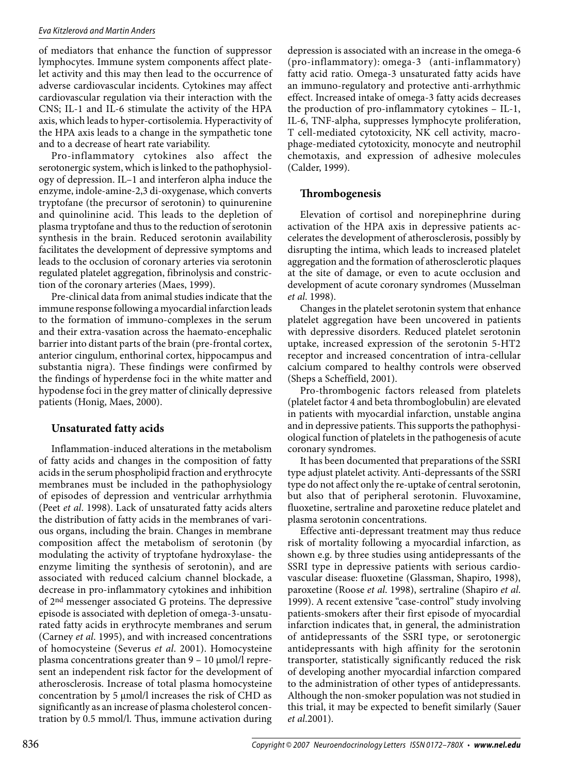of mediators that enhance the function of suppressor lymphocytes. Immune system components affect platelet activity and this may then lead to the occurrence of adverse cardiovascular incidents. Cytokines may affect cardiovascular regulation via their interaction with the CNS; IL-1 and IL-6 stimulate the activity of the HPA axis, which leads to hyper-cortisolemia. Hyperactivity of the HPA axis leads to a change in the sympathetic tone and to a decrease of heart rate variability.

Pro-inflammatory cytokines also affect the serotonergic system, which is linked to the pathophysiology of depression. IL–1 and interferon alpha induce the enzyme, indole-amine-2,3 di-oxygenase, which converts tryptofane (the precursor of serotonin) to quinurenine and quinolinine acid. This leads to the depletion of plasma tryptofane and thus to the reduction of serotonin synthesis in the brain. Reduced serotonin availability facilitates the development of depressive symptoms and leads to the occlusion of coronary arteries via serotonin regulated platelet aggregation, fibrinolysis and constriction of the coronary arteries (Maes, 1999).

Pre-clinical data from animal studies indicate that the immune response following a myocardial infarction leads to the formation of immuno-complexes in the serum and their extra-vasation across the haemato-encephalic barrier into distant parts of the brain (pre-frontal cortex, anterior cingulum, enthorinal cortex, hippocampus and substantia nigra). These findings were confirmed by the findings of hyperdense foci in the white matter and hypodense foci in the grey matter of clinically depressive patients (Honig, Maes, 2000).

# **Unsaturated fatty acids**

Inflammation-induced alterations in the metabolism of fatty acids and changes in the composition of fatty acids in the serum phospholipid fraction and erythrocyte membranes must be included in the pathophysiology of episodes of depression and ventricular arrhythmia (Peet *et al*. 1998). Lack of unsaturated fatty acids alters the distribution of fatty acids in the membranes of various organs, including the brain. Changes in membrane composition affect the metabolism of serotonin (by modulating the activity of tryptofane hydroxylase- the enzyme limiting the synthesis of serotonin), and are associated with reduced calcium channel blockade, a decrease in pro-inflammatory cytokines and inhibition of 2nd messenger associated G proteins. The depressive episode is associated with depletion of omega-3-unsaturated fatty acids in erythrocyte membranes and serum (Carney *et al*. 1995), and with increased concentrations of homocysteine (Severus *et al*. 2001). Homocysteine plasma concentrations greater than 9 – 10 μmol/l represent an independent risk factor for the development of atherosclerosis. Increase of total plasma homocysteine concentration by 5 μmol/l increases the risk of CHD as significantly as an increase of plasma cholesterol concentration by 0.5 mmol/l. Thus, immune activation during depression is associated with an increase in the omega-6 (pro-inflammatory): omega-3 (anti-inflammatory) fatty acid ratio. Omega-3 unsaturated fatty acids have an immuno-regulatory and protective anti-arrhythmic effect. Increased intake of omega-3 fatty acids decreases the production of pro-inflammatory cytokines – IL-1, IL-6, TNF-alpha, suppresses lymphocyte proliferation, T cell-mediated cytotoxicity, NK cell activity, macrophage-mediated cytotoxicity, monocyte and neutrophil chemotaxis, and expression of adhesive molecules (Calder, 1999).

# **Thrombogenesis**

Elevation of cortisol and norepinephrine during activation of the HPA axis in depressive patients accelerates the development of atherosclerosis, possibly by disrupting the intima, which leads to increased platelet aggregation and the formation of atherosclerotic plaques at the site of damage, or even to acute occlusion and development of acute coronary syndromes (Musselman *et al*. 1998).

Changes in the platelet serotonin system that enhance platelet aggregation have been uncovered in patients with depressive disorders. Reduced platelet serotonin uptake, increased expression of the serotonin 5-HT2 receptor and increased concentration of intra-cellular calcium compared to healthy controls were observed (Sheps a Scheffield, 2001).

Pro-thrombogenic factors released from platelets (platelet factor 4 and beta thromboglobulin) are elevated in patients with myocardial infarction, unstable angina and in depressive patients. This supports the pathophysiological function of platelets in the pathogenesis of acute coronary syndromes.

It has been documented that preparations of the SSRI type adjust platelet activity. Anti-depressants of the SSRI type do not affect only the re-uptake of central serotonin, but also that of peripheral serotonin. Fluvoxamine, fluoxetine, sertraline and paroxetine reduce platelet and plasma serotonin concentrations.

Effective anti-depressant treatment may thus reduce risk of mortality following a myocardial infarction, as shown e.g. by three studies using antidepressants of the SSRI type in depressive patients with serious cardiovascular disease: fluoxetine (Glassman, Shapiro, 1998), paroxetine (Roose *et al*. 1998), sertraline (Shapiro *et al*. 1999). A recent extensive "case-control" study involving patients-smokers after their first episode of myocardial infarction indicates that, in general, the administration of antidepressants of the SSRI type, or serotonergic antidepressants with high affinity for the serotonin transporter, statistically significantly reduced the risk of developing another myocardial infarction compared to the administration of other types of antidepressants. Although the non-smoker population was not studied in this trial, it may be expected to benefit similarly (Sauer *et al*.2001).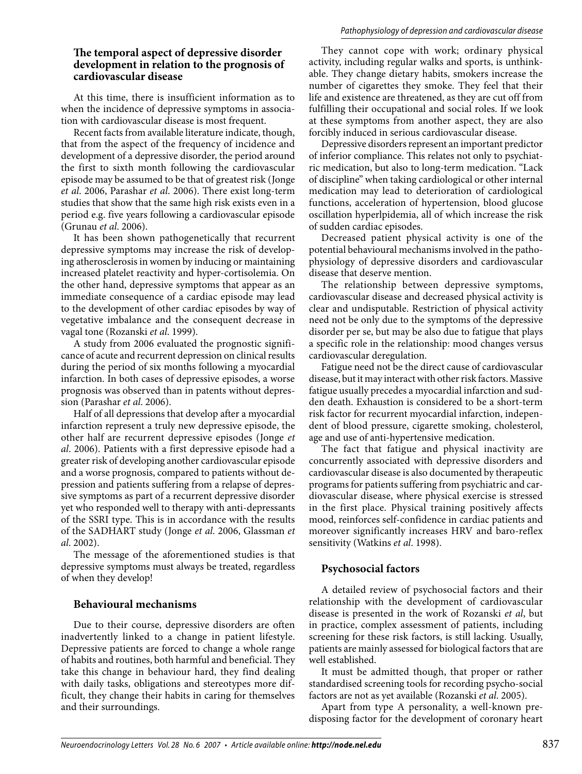## **The temporal aspect of depressive disorder development in relation to the prognosis of cardiovascular disease**

At this time, there is insufficient information as to when the incidence of depressive symptoms in association with cardiovascular disease is most frequent.

Recent facts from available literature indicate, though, that from the aspect of the frequency of incidence and development of a depressive disorder, the period around the first to sixth month following the cardiovascular episode may be assumed to be that of greatest risk (Jonge *et al*. 2006, Parashar *et al*. 2006). There exist long-term studies that show that the same high risk exists even in a period e.g. five years following a cardiovascular episode (Grunau *et al*. 2006).

It has been shown pathogenetically that recurrent depressive symptoms may increase the risk of developing atherosclerosis in women by inducing or maintaining increased platelet reactivity and hyper-cortisolemia. On the other hand, depressive symptoms that appear as an immediate consequence of a cardiac episode may lead to the development of other cardiac episodes by way of vegetative imbalance and the consequent decrease in vagal tone (Rozanski *et al*. 1999).

A study from 2006 evaluated the prognostic significance of acute and recurrent depression on clinical results during the period of six months following a myocardial infarction. In both cases of depressive episodes, a worse prognosis was observed than in patents without depression (Parashar *et al*. 2006).

Half of all depressions that develop after a myocardial infarction represent a truly new depressive episode, the other half are recurrent depressive episodes (Jonge *et al*. 2006). Patients with a first depressive episode had a greater risk of developing another cardiovascular episode and a worse prognosis, compared to patients without depression and patients suffering from a relapse of depressive symptoms as part of a recurrent depressive disorder yet who responded well to therapy with anti-depressants of the SSRI type. This is in accordance with the results of the SADHART study (Jonge *et al*. 2006, Glassman *et al*. 2002).

The message of the aforementioned studies is that depressive symptoms must always be treated, regardless of when they develop!

## **Behavioural mechanisms**

Due to their course, depressive disorders are often inadvertently linked to a change in patient lifestyle. Depressive patients are forced to change a whole range of habits and routines, both harmful and beneficial. They take this change in behaviour hard, they find dealing with daily tasks, obligations and stereotypes more difficult, they change their habits in caring for themselves and their surroundings.

They cannot cope with work; ordinary physical activity, including regular walks and sports, is unthinkable. They change dietary habits, smokers increase the number of cigarettes they smoke. They feel that their life and existence are threatened, as they are cut off from fulfilling their occupational and social roles. If we look at these symptoms from another aspect, they are also forcibly induced in serious cardiovascular disease.

Depressive disorders represent an important predictor of inferior compliance. This relates not only to psychiatric medication, but also to long-term medication. "Lack of discipline" when taking cardiological or other internal medication may lead to deterioration of cardiological functions, acceleration of hypertension, blood glucose oscillation hyperlpidemia, all of which increase the risk of sudden cardiac episodes.

Decreased patient physical activity is one of the potential behavioural mechanisms involved in the pathophysiology of depressive disorders and cardiovascular disease that deserve mention.

The relationship between depressive symptoms, cardiovascular disease and decreased physical activity is clear and undisputable. Restriction of physical activity need not be only due to the symptoms of the depressive disorder per se, but may be also due to fatigue that plays a specific role in the relationship: mood changes versus cardiovascular deregulation.

Fatigue need not be the direct cause of cardiovascular disease, but it may interact with other risk factors. Massive fatigue usually precedes a myocardial infarction and sudden death. Exhaustion is considered to be a short-term risk factor for recurrent myocardial infarction, independent of blood pressure, cigarette smoking, cholesterol, age and use of anti-hypertensive medication.

The fact that fatigue and physical inactivity are concurrently associated with depressive disorders and cardiovascular disease is also documented by therapeutic programs for patients suffering from psychiatric and cardiovascular disease, where physical exercise is stressed in the first place. Physical training positively affects mood, reinforces self-confidence in cardiac patients and moreover significantly increases HRV and baro-reflex sensitivity (Watkins *et al*. 1998).

# **Psychosocial factors**

A detailed review of psychosocial factors and their relationship with the development of cardiovascular disease is presented in the work of Rozanski *et al*, but in practice, complex assessment of patients, including screening for these risk factors, is still lacking. Usually, patients are mainly assessed for biological factors that are well established.

It must be admitted though, that proper or rather standardised screening tools for recording psycho-social factors are not as yet available (Rozanski *et al*. 2005).

Apart from type A personality, a well-known predisposing factor for the development of coronary heart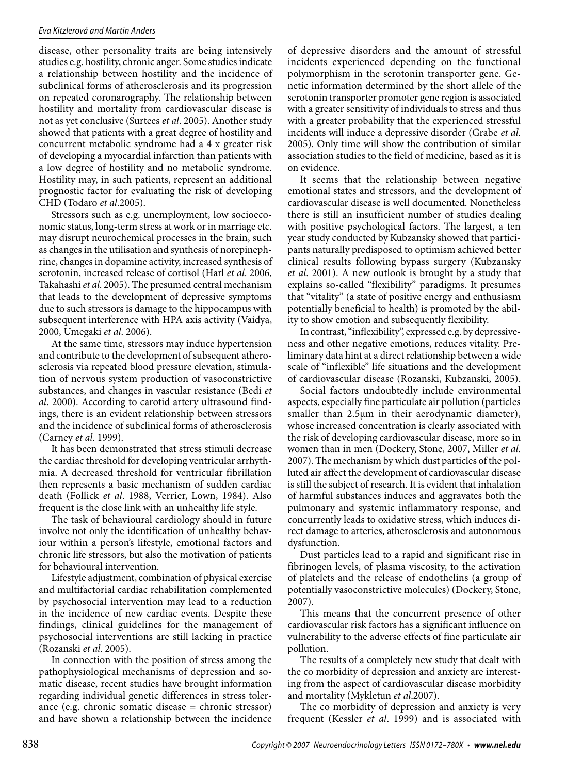disease, other personality traits are being intensively studies e.g. hostility, chronic anger. Some studies indicate a relationship between hostility and the incidence of subclinical forms of atherosclerosis and its progression on repeated coronarography. The relationship between hostility and mortality from cardiovascular disease is not as yet conclusive (Surtees *et al*. 2005). Another study showed that patients with a great degree of hostility and concurrent metabolic syndrome had a 4 x greater risk of developing a myocardial infarction than patients with a low degree of hostility and no metabolic syndrome. Hostility may, in such patients, represent an additional prognostic factor for evaluating the risk of developing CHD (Todaro *et al*.2005).

Stressors such as e.g. unemployment, low socioeconomic status, long-term stress at work or in marriage etc. may disrupt neurochemical processes in the brain, such as changes in the utilisation and synthesis of norepinephrine, changes in dopamine activity, increased synthesis of serotonin, increased release of cortisol (Harl *et al*. 2006, Takahashi *et al*. 2005). The presumed central mechanism that leads to the development of depressive symptoms due to such stressors is damage to the hippocampus with subsequent interference with HPA axis activity (Vaidya, 2000, Umegaki *et al*. 2006).

At the same time, stressors may induce hypertension and contribute to the development of subsequent atherosclerosis via repeated blood pressure elevation, stimulation of nervous system production of vasoconstrictive substances, and changes in vascular resistance (Bedi *et al*. 2000). According to carotid artery ultrasound findings, there is an evident relationship between stressors and the incidence of subclinical forms of atherosclerosis (Carney *et al*. 1999).

It has been demonstrated that stress stimuli decrease the cardiac threshold for developing ventricular arrhythmia. A decreased threshold for ventricular fibrillation then represents a basic mechanism of sudden cardiac death (Follick *et al*. 1988, Verrier, Lown, 1984). Also frequent is the close link with an unhealthy life style.

The task of behavioural cardiology should in future involve not only the identification of unhealthy behaviour within a person's lifestyle, emotional factors and chronic life stressors, but also the motivation of patients for behavioural intervention.

Lifestyle adjustment, combination of physical exercise and multifactorial cardiac rehabilitation complemented by psychosocial intervention may lead to a reduction in the incidence of new cardiac events. Despite these findings, clinical guidelines for the management of psychosocial interventions are still lacking in practice (Rozanski *et al*. 2005).

In connection with the position of stress among the pathophysiological mechanisms of depression and somatic disease, recent studies have brought information regarding individual genetic differences in stress tolerance (e.g. chronic somatic disease = chronic stressor) and have shown a relationship between the incidence

of depressive disorders and the amount of stressful incidents experienced depending on the functional polymorphism in the serotonin transporter gene. Genetic information determined by the short allele of the serotonin transporter promoter gene region is associated with a greater sensitivity of individuals to stress and thus with a greater probability that the experienced stressful incidents will induce a depressive disorder (Grabe *et al*. 2005). Only time will show the contribution of similar association studies to the field of medicine, based as it is on evidence.

It seems that the relationship between negative emotional states and stressors, and the development of cardiovascular disease is well documented. Nonetheless there is still an insufficient number of studies dealing with positive psychological factors. The largest, a ten year study conducted by Kubzansky showed that participants naturally predisposed to optimism achieved better clinical results following bypass surgery (Kubzansky *et al*. 2001). A new outlook is brought by a study that explains so-called "flexibility" paradigms. It presumes that "vitality" (a state of positive energy and enthusiasm potentially beneficial to health) is promoted by the ability to show emotion and subsequently flexibility.

In contrast, "inflexibility", expressed e.g. by depressiveness and other negative emotions, reduces vitality. Preliminary data hint at a direct relationship between a wide scale of "inflexible" life situations and the development of cardiovascular disease (Rozanski, Kubzanski, 2005).

Social factors undoubtedly include environmental aspects, especially fine particulate air pollution (particles smaller than 2.5µm in their aerodynamic diameter), whose increased concentration is clearly associated with the risk of developing cardiovascular disease, more so in women than in men (Dockery, Stone, 2007, Miller *et al*. 2007). The mechanism by which dust particles of the polluted air affect the development of cardiovascular disease is still the subject of research. It is evident that inhalation of harmful substances induces and aggravates both the pulmonary and systemic inflammatory response, and concurrently leads to oxidative stress, which induces direct damage to arteries, atherosclerosis and autonomous dysfunction.

Dust particles lead to a rapid and significant rise in fibrinogen levels, of plasma viscosity, to the activation of platelets and the release of endothelins (a group of potentially vasoconstrictive molecules) (Dockery, Stone, 2007).

This means that the concurrent presence of other cardiovascular risk factors has a significant influence on vulnerability to the adverse effects of fine particulate air pollution.

The results of a completely new study that dealt with the co morbidity of depression and anxiety are interesting from the aspect of cardiovascular disease morbidity and mortality (Mykletun *et al*.2007).

The co morbidity of depression and anxiety is very frequent (Kessler *et al*. 1999) and is associated with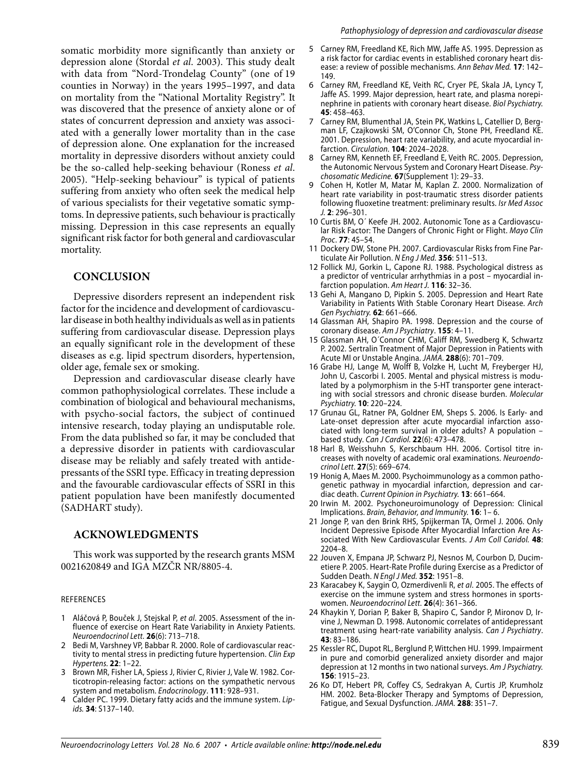somatic morbidity more significantly than anxiety or depression alone (Stordal *et al*. 2003). This study dealt with data from "Nord-Trondelag County" (one of 19 counties in Norway) in the years 1995–1997, and data on mortality from the "National Mortality Registry". It was discovered that the presence of anxiety alone or of states of concurrent depression and anxiety was associated with a generally lower mortality than in the case of depression alone. One explanation for the increased mortality in depressive disorders without anxiety could be the so-called help-seeking behaviour (Roness *et al*. 2005). "Help-seeking behaviour" is typical of patients suffering from anxiety who often seek the medical help of various specialists for their vegetative somatic symptoms. In depressive patients, such behaviour is practically missing. Depression in this case represents an equally significant risk factor for both general and cardiovascular mortality.

## **Conclusion**

Depressive disorders represent an independent risk factor for the incidence and development of cardiovascular disease in both healthy individuals as well as in patients suffering from cardiovascular disease. Depression plays an equally significant role in the development of these diseases as e.g. lipid spectrum disorders, hypertension, older age, female sex or smoking.

Depression and cardiovascular disease clearly have common pathophysiological correlates. These include a combination of biological and behavioural mechanisms, with psycho-social factors, the subject of continued intensive research, today playing an undisputable role. From the data published so far, it may be concluded that a depressive disorder in patients with cardiovascular disease may be reliably and safely treated with antidepressants of the SSRI type. Efficacy in treating depression and the favourable cardiovascular effects of SSRI in this patient population have been manifestly documented (SADHART study).

### **Acknowledgments**

This work was supported by the research grants MSM 0021620849 and IGA MZČR NR/8805-4.

#### References

- Aláčová P, Bouček J, Stejskal P, *et al*. 2005. Assessment of the influence of exercise on Heart Rate Variability in Anxiety Patients. *Neuroendocrinol Lett.* **26**(6): 713–718. 1
- 2 Bedi M, Varshney VP, Babbar R. 2000. Role of cardiovascular reactivity to mental stress in predicting future hypertension. *Clin Exp Hypertens.* **22**: 1–22.
- 3 Brown MR, Fisher LA, Spiess J, Rivier C, Rivier J, Vale W. 1982. Corticotropin-releasing factor: actions on the sympathetic nervous system and metabolism. *Endocrinology*. **111**: 928–931.
- Calder PC. 1999. Dietary fatty acids and the immune system. *Lipids.* **34**: S137–140. 4
- Carney RM, Freedland KE, Rich MW, Jaffe AS. 1995. Depression as a risk factor for cardiac events in established coronary heart disease: a review of possible mechanisms. *Ann Behav Med.* **17**: 142– 149. 5
- 6 Carney RM, Freedland KE, Veith RC, Cryer PE, Skala JA, Lyncy T, Jaffe AS. 1999. Major depression, heart rate, and plasma norepinephrine in patients with coronary heart disease. *Biol Psychiatry.* **45**: 458–463.
- Carney RM, Blumenthal JA, Stein PK, Watkins L, Catellier D, Bergman LF, Czajkowski SM, O'Connor Ch, Stone PH, Freedland KE. 2001. Depression, heart rate variability, and acute myocardial infarction. *Circulation.* **104**: 2024–2028. 7
- Carney RM, Kenneth EF, Freedland E, Veith RC. 2005. Depression, the Autonomic Nervous System and Coronary Heart Disease. *Psychosomatic Medicine.* **67**(Supplement 1): 29–33. 8
- Cohen H, Kotler M, Matar M, Kaplan Z. 2000. Normalization of heart rate variability in post-traumatic stress disorder patients following fluoxetine treatment: preliminary results. *Isr Med Assoc J.* **2**: 296–301. 9
- 10 Curtis BM, O' Keefe JH. 2002. Autonomic Tone as a Cardiovascular Risk Factor: The Dangers of Chronic Fight or Flight. *Mayo Clin Proc*. **77**: 45–54.
- 11 Dockery DW, Stone PH. 2007. Cardiovascular Risks from Fine Particulate Air Pollution. *N Eng J Med.* **356**: 511–513.
- 12 Follick MJ, Gorkin L, Capone RJ. 1988. Psychological distress as a predictor of ventricular arrhythmias in a post – myocardial infarction population. *Am Heart J.* **116**: 32–36.
- 13 Gehi A, Mangano D, Pipkin S. 2005. Depression and Heart Rate Variability in Patients With Stable Coronary Heart Disease. *Arch Gen Psychiatry.* **62**: 661–666.
- 14 Glassman AH, Shapiro PA. 1998. Depression and the course of coronary disease. *Am J Psychiatry*. **155**: 4–11.
- 15 Glassman AH, O'Connor CHM, Califf RM, Swedberg K, Schwartz P. 2002. Sertralin Treatment of Major Depression in Patients with Acute MI or Unstable Angina. *Jama.* **288**(6): 701–709.
- Grabe HJ, Lange M, Wolff B, Volzke H, Lucht M, Freyberger HJ, 16 John U, Cascorbi I. 2005. Mental and physical mistress is modulated by a polymorphism in the 5-HT transporter gene interacting with social stressors and chronic disease burden. *Molecular Psychiatry.* **10**: 220–224.
- 17 Grunau GL, Ratner PA, Goldner EM, Sheps S. 2006. Is Early- and Late-onset depression after acute myocardial infarction associated with long-term survival in older adults? A population – based study. *Can J Cardiol.* **22**(6): 473–478.
- 18 Harl B, Weisshuhn S, Kerschbaum HH. 2006. Cortisol titre increases with novelty of academic oral examinations. *Neuroendocrinol Lett*. **27**(5): 669–674.
- 19 Honig A, Maes M. 2000. Psychoimmunology as a common pathogenetic pathway in myocardial infarction, depression and cardiac death. *Current Opinion in Psychiatry.* **13**: 661–664.
- 20 Irwin M. 2002. Psychoneuroimunology of Depression: Clinical Implications. *Brain, Behavior, and Immunity.* **16**: 1– 6.
- 21 Jonge P, van den Brink RHS, Spijkerman TA, Ormel J. 2006. Only Incident Depressive Episode After Myocardial Infarction Are Associated With New Cardiovascular Events. *J Am Coll Caridol.* **48**: 2204–8.
- 22 Jouven X, Empana JP, Schwarz PJ, Nesnos M, Courbon D, Ducimetiere P. 2005. Heart-Rate Profile during Exercise as a Predictor of Sudden Death. *N Engl J Med.* **352**: 1951–8.
- 23 Karacabey K, Saygin O, Ozmerdivenli R, et al. 2005. The effects of exercise on the immune system and stress hormones in sportswomen. *Neuroendocrinol Lett.* **26**(4): 361–366.
- 24 Khaykin Y, Dorian P, Baker B, Shapiro C, Sandor P, Mironov D, Irvine J, Newman D. 1998. Autonomic correlates of antidepressant treatment using heart-rate variability analysis. *Can J Psychiatry*. **43**: 83–186.
- 25 Kessler RC, Dupot RL, Berglund P, Wittchen HU. 1999. Impairment in pure and comorbid generalized anxiety disorder and major depression at 12 months in two national surveys. *Am J Psychiatry.* **156**: 1915–23.
- 26 Ko DT, Hebert PR, Coffey CS, Sedrakyan A, Curtis JP, Krumholz HM. 2002. Beta-Blocker Therapy and Symptoms of Depression, Fatigue, and Sexual Dysfunction. *JAMA.* **288**: 351–7.